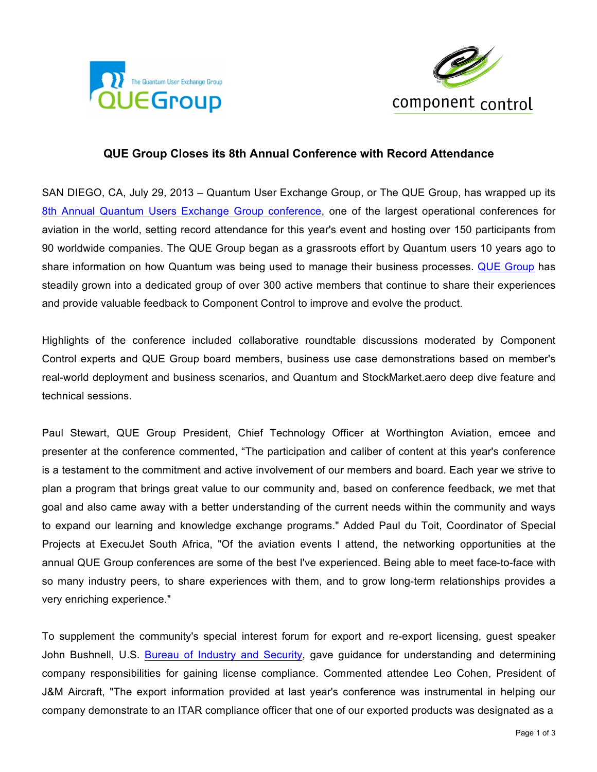



## **QUE Group Closes its 8th Annual Conference with Record Attendance**

SAN DIEGO, CA, July 29, 2013 – Quantum User Exchange Group, or The QUE Group, has wrapped up its 8th Annual Quantum Users Exchange Group conference, one of the largest operational conferences for aviation in the world, setting record attendance for this year's event and hosting over 150 participants from 90 worldwide companies. The QUE Group began as a grassroots effort by Quantum users 10 years ago to share information on how Quantum was being used to manage their business processes. QUE Group has steadily grown into a dedicated group of over 300 active members that continue to share their experiences and provide valuable feedback to Component Control to improve and evolve the product.

Highlights of the conference included collaborative roundtable discussions moderated by Component Control experts and QUE Group board members, business use case demonstrations based on member's real-world deployment and business scenarios, and Quantum and StockMarket.aero deep dive feature and technical sessions.

Paul Stewart, QUE Group President, Chief Technology Officer at Worthington Aviation, emcee and presenter at the conference commented, "The participation and caliber of content at this year's conference is a testament to the commitment and active involvement of our members and board. Each year we strive to plan a program that brings great value to our community and, based on conference feedback, we met that goal and also came away with a better understanding of the current needs within the community and ways to expand our learning and knowledge exchange programs." Added Paul du Toit, Coordinator of Special Projects at ExecuJet South Africa, "Of the aviation events I attend, the networking opportunities at the annual QUE Group conferences are some of the best I've experienced. Being able to meet face-to-face with so many industry peers, to share experiences with them, and to grow long-term relationships provides a very enriching experience."

To supplement the community's special interest forum for export and re-export licensing, guest speaker John Bushnell, U.S. Bureau of Industry and Security, gave guidance for understanding and determining company responsibilities for gaining license compliance. Commented attendee Leo Cohen, President of J&M Aircraft, "The export information provided at last year's conference was instrumental in helping our company demonstrate to an ITAR compliance officer that one of our exported products was designated as a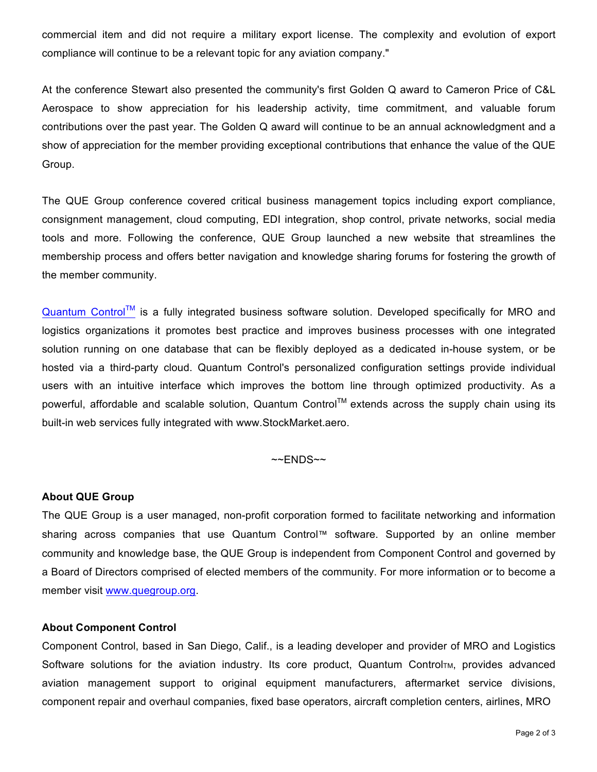commercial item and did not require a military export license. The complexity and evolution of export compliance will continue to be a relevant topic for any aviation company."

At the conference Stewart also presented the community's first Golden Q award to Cameron Price of C&L Aerospace to show appreciation for his leadership activity, time commitment, and valuable forum contributions over the past year. The Golden Q award will continue to be an annual acknowledgment and a show of appreciation for the member providing exceptional contributions that enhance the value of the QUE Group.

The QUE Group conference covered critical business management topics including export compliance, consignment management, cloud computing, EDI integration, shop control, private networks, social media tools and more. Following the conference, QUE Group launched a new website that streamlines the membership process and offers better navigation and knowledge sharing forums for fostering the growth of the member community.

 $Quantum Control<sup>TM</sup>$  is a fully integrated business software solution. Developed specifically for MRO and logistics organizations it promotes best practice and improves business processes with one integrated solution running on one database that can be flexibly deployed as a dedicated in-house system, or be hosted via a third-party cloud. Quantum Control's personalized configuration settings provide individual users with an intuitive interface which improves the bottom line through optimized productivity. As a powerful, affordable and scalable solution, Quantum Control™ extends across the supply chain using its built-in web services fully integrated with www.StockMarket.aero.

 $~\sim$ ENDS $~\sim$ 

## **About QUE Group**

The QUE Group is a user managed, non-profit corporation formed to facilitate networking and information sharing across companies that use Quantum Control™ software. Supported by an online member community and knowledge base, the QUE Group is independent from Component Control and governed by a Board of Directors comprised of elected members of the community. For more information or to become a member visit www.quegroup.org.

## **About Component Control**

Component Control, based in San Diego, Calif., is a leading developer and provider of MRO and Logistics Software solutions for the aviation industry. Its core product, Quantum ControlTM, provides advanced aviation management support to original equipment manufacturers, aftermarket service divisions, component repair and overhaul companies, fixed base operators, aircraft completion centers, airlines, MRO